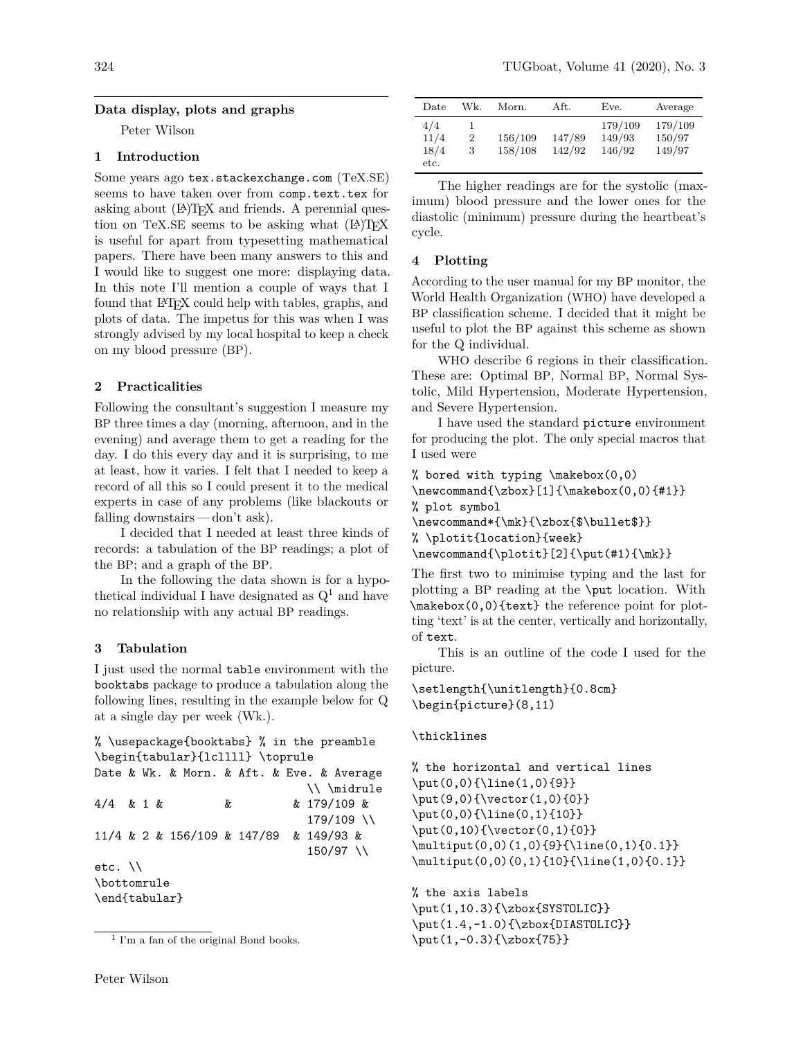## **Data display, plots and graphs**

Peter Wilson

# **1 Introduction**

Some years ago tex.stackexchange.com (TeX.SE) seems to have taken over from comp.text.tex for asking about (LA)TEX and friends. A perennial question on TeX.SE seems to be asking what  $(L)$ T<sub>F</sub>X is useful for apart from typesetting mathematical papers. There have been many answers to this and I would like to suggest one more: displaying data. In this note I'll mention a couple of ways that I found that LATEX could help with tables, graphs, and plots of data. The impetus for this was when I was strongly advised by my local hospital to keep a check on my blood pressure (BP).

## **2 Practicalities**

Following the consultant's suggestion I measure my BP three times a day (morning, afternoon, and in the evening) and average them to get a reading for the day. I do this every day and it is surprising, to me at least, how it varies. I felt that I needed to keep a record of all this so I could present it to the medical experts in case of any problems (like blackouts or falling downstairs — don't ask).

I decided that I needed at least three kinds of records: a tabulation of the BP readings; a plot of the BP; and a graph of the BP.

In the following the data shown is for a hypothetical individual I have designated as  $Q<sup>1</sup>$  and have no relationship with any actual BP readings.

### **3 Tabulation**

I just used the normal table environment with the booktabs package to produce a tabulation along the following lines, resulting in the example below for Q at a single day per week (Wk.).

```
% \usepackage{booktabs} % in the preamble
\begin{tabular}{lcllll} \toprule
Date & Wk. & Morn. & Aft. & Eve. & Average
                             \\ \midrule
4/4 & 1 & & & 179/109 &
                             179/109 \\
11/4 & 2 & 156/109 & 147/89 & 149/93 &
                             150/97 \\
etc. \\
\bottomrule
```
\end{tabular}

| Date                        | Wk.    | Morn.              | Aft.             | Eve.                        | Average                     |
|-----------------------------|--------|--------------------|------------------|-----------------------------|-----------------------------|
| 4/4<br>11/4<br>18/4<br>etc. | 2<br>3 | 156/109<br>158/108 | 147/89<br>142/92 | 179/109<br>149/93<br>146/92 | 179/109<br>150/97<br>149/97 |

The higher readings are for the systolic (maximum) blood pressure and the lower ones for the diastolic (minimum) pressure during the heartbeat's cycle.

### **4 Plotting**

According to the user manual for my BP monitor, the World Health Organization (WHO) have developed a BP classification scheme. I decided that it might be useful to plot the BP against this scheme as shown for the Q individual.

WHO describe 6 regions in their classification. These are: Optimal BP, Normal BP, Normal Systolic, Mild Hypertension, Moderate Hypertension, and Severe Hypertension.

I have used the standard picture environment for producing the plot. The only special macros that I used were

```
% bored with typing \makebox(0,0)
\newcommand{\zbox}[1]{\makebox(0,0){#1}}
% plot symbol
\newcommand*{\mk}{\zbox{$\bullet$}}
% \plotit{location}{week}
\newcommand{\phi}{\phi}[2]{\put(#1){\m
```
The first two to minimise typing and the last for plotting a BP reading at the \put location. With \makebox(0,0){text} the reference point for plotting 'text' is at the center, vertically and horizontally, of text.

This is an outline of the code I used for the picture.

\setlength{\unitlength}{0.8cm} \begin{picture}(8,11)

## \thicklines

```
% the horizontal and vertical lines
\put(0,0){\line(1,0){9}}
\put(9,0){\vector(1,0){0}}
\put(0,0){\line(0,1){10}}
\put(0,10){\vector(0,1){0}}
\multiput(0,0)(1,0){9}{\line(0,1){0.1}}
\multiput(0,0)(0,1){10}{\line(1,0){0.1}}
```
% the axis labels \put(1,10.3){\zbox{SYSTOLIC}} \put(1.4,-1.0){\zbox{DIASTOLIC}} \put(1,-0.3){\zbox{75}}

<sup>1</sup> I'm a fan of the original Bond books.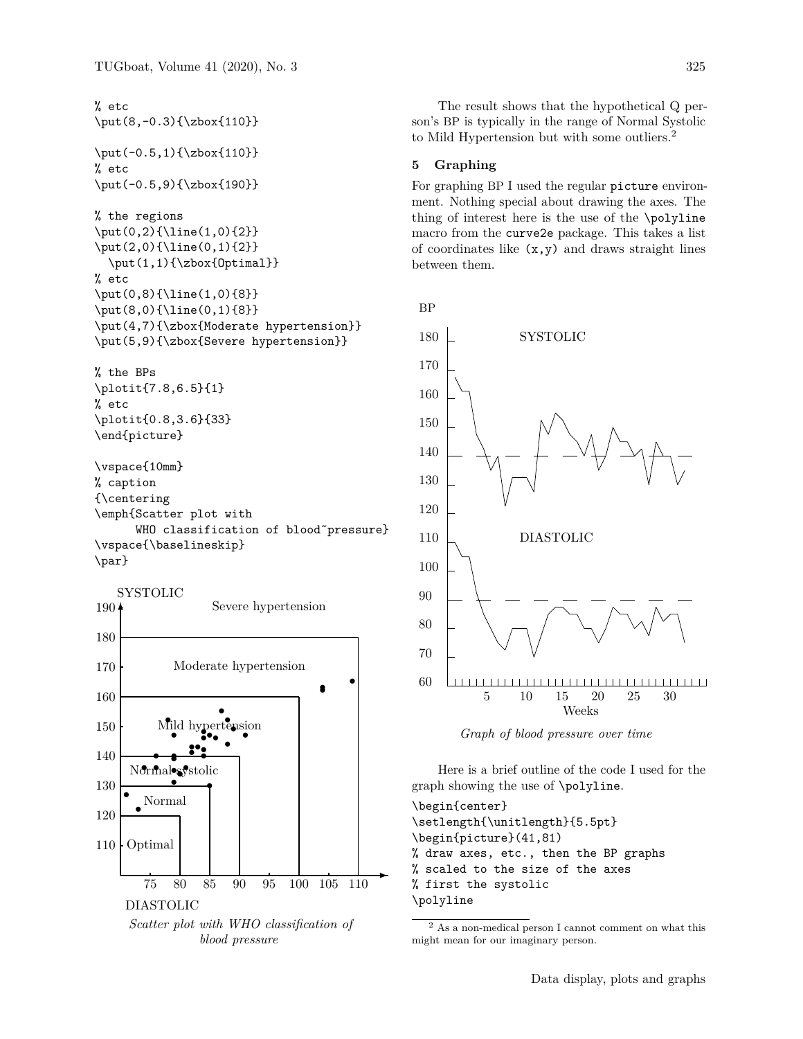% etc

\put(8,-0.3){\zbox{110}} \put(-0.5,1){\zbox{110}} % etc \put(-0.5,9){\zbox{190}} % the regions \put(0,2){\line(1,0){2}} \put(2,0){\line(0,1){2}}  $\put(1,1){\zbox{Obx{Optimal}}$ % etc \put(0,8){\line(1,0){8}}

\put(8,0){\line(0,1){8}} \put(4,7){\zbox{Moderate hypertension}} \put(5,9){\zbox{Severe hypertension}}

% the BPs \plotit{7.8,6.5}{1} % etc \plotit{0.8,3.6}{33} \end{picture}

\vspace{10mm} % caption {\centering \emph{Scatter plot with WHO classification of blood~pressure} \vspace{\baselineskip} \par}



The result shows that the hypothetical Q person's BP is typically in the range of Normal Systolic to Mild Hypertension but with some outliers.<sup>2</sup>

#### **5 Graphing**

For graphing BP I used the regular picture environment. Nothing special about drawing the axes. The thing of interest here is the use of the \polyline macro from the curve2e package. This takes a list of coordinates like  $(x,y)$  and draws straight lines between them.

BP



*Graph of blood pressure over time*

Here is a brief outline of the code I used for the graph showing the use of \polyline.

\begin{center} \setlength{\unitlength}{5.5pt} \begin{picture}(41,81) % draw axes, etc., then the BP graphs % scaled to the size of the axes % first the systolic \polyline

 $^2$  As a non-medical person I cannot comment on what this might mean for our imaginary person.